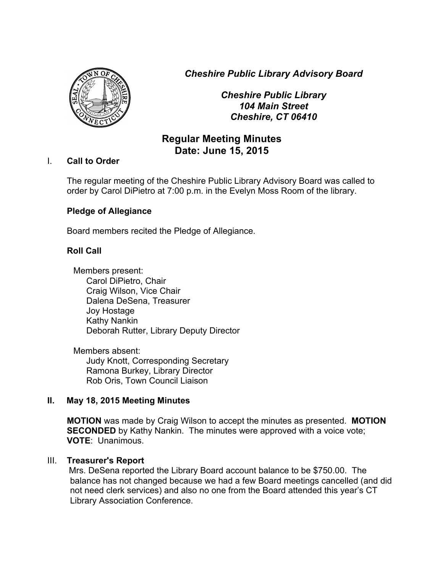*Cheshire Public Library Advisory Board*



*Cheshire Public Library 104 Main Street Cheshire, CT 06410*

# **Regular Meeting Minutes Date: June 15, 2015**

## I. **Call to Order**

The regular meeting of the Cheshire Public Library Advisory Board was called to order by Carol DiPietro at 7:00 p.m. in the Evelyn Moss Room of the library.

## **Pledge of Allegiance**

Board members recited the Pledge of Allegiance.

## **Roll Call**

Members present: Carol DiPietro, Chair Craig Wilson, Vice Chair Dalena DeSena, Treasurer Joy Hostage Kathy Nankin Deborah Rutter, Library Deputy Director

Members absent: Judy Knott, Corresponding Secretary Ramona Burkey, Library Director Rob Oris, Town Council Liaison

## **II. May 18, 2015 Meeting Minutes**

**MOTION** was made by Craig Wilson to accept the minutes as presented. **MOTION SECONDED** by Kathy Nankin. The minutes were approved with a voice vote; **VOTE**: Unanimous.

## III. **Treasurer's Report**

 Mrs. DeSena reported the Library Board account balance to be \$750.00. The balance has not changed because we had a few Board meetings cancelled (and did not need clerk services) and also no one from the Board attended this year's CT Library Association Conference.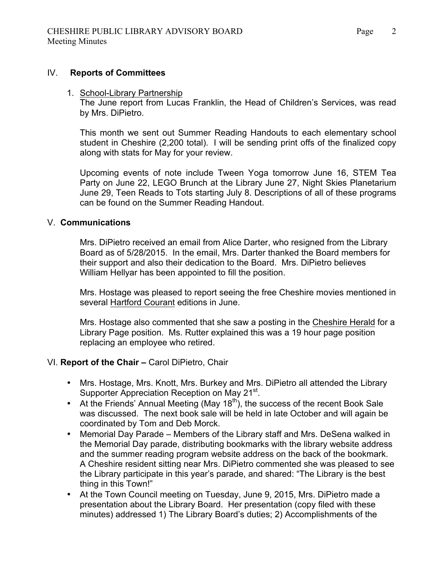#### IV. **Reports of Committees**

#### 1. School-Library Partnership

The June report from Lucas Franklin, the Head of Children's Services, was read by Mrs. DiPietro.

This month we sent out Summer Reading Handouts to each elementary school student in Cheshire (2,200 total). I will be sending print offs of the finalized copy along with stats for May for your review.

Upcoming events of note include Tween Yoga tomorrow June 16, STEM Tea Party on June 22, LEGO Brunch at the Library June 27, Night Skies Planetarium June 29, Teen Reads to Tots starting July 8. Descriptions of all of these programs can be found on the Summer Reading Handout.

#### V. **Communications**

Mrs. DiPietro received an email from Alice Darter, who resigned from the Library Board as of 5/28/2015. In the email, Mrs. Darter thanked the Board members for their support and also their dedication to the Board. Mrs. DiPietro believes William Hellyar has been appointed to fill the position.

Mrs. Hostage was pleased to report seeing the free Cheshire movies mentioned in several Hartford Courant editions in June.

Mrs. Hostage also commented that she saw a posting in the Cheshire Herald for a Library Page position. Ms. Rutter explained this was a 19 hour page position replacing an employee who retired.

#### VI. **Report of the Chair –** Carol DiPietro, Chair

- Mrs. Hostage, Mrs. Knott, Mrs. Burkey and Mrs. DiPietro all attended the Library Supporter Appreciation Reception on May 21<sup>st</sup>.
- At the Friends' Annual Meeting (May 18<sup>th</sup>), the success of the recent Book Sale was discussed. The next book sale will be held in late October and will again be coordinated by Tom and Deb Morck.
- Memorial Day Parade Members of the Library staff and Mrs. DeSena walked in the Memorial Day parade, distributing bookmarks with the library website address and the summer reading program website address on the back of the bookmark. A Cheshire resident sitting near Mrs. DiPietro commented she was pleased to see the Library participate in this year's parade, and shared: "The Library is the best thing in this Town!"
- At the Town Council meeting on Tuesday, June 9, 2015, Mrs. DiPietro made a presentation about the Library Board. Her presentation (copy filed with these minutes) addressed 1) The Library Board's duties; 2) Accomplishments of the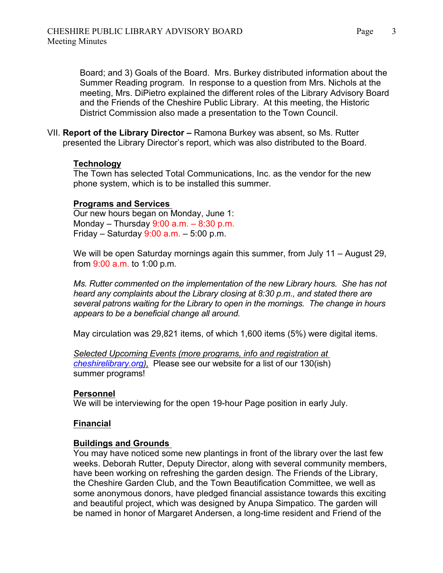Board; and 3) Goals of the Board. Mrs. Burkey distributed information about the Summer Reading program. In response to a question from Mrs. Nichols at the meeting, Mrs. DiPietro explained the different roles of the Library Advisory Board and the Friends of the Cheshire Public Library. At this meeting, the Historic District Commission also made a presentation to the Town Council.

VII. **Report of the Library Director –** Ramona Burkey was absent, so Ms. Rutter presented the Library Director's report, which was also distributed to the Board.

### **Technology**

The Town has selected Total Communications, Inc. as the vendor for the new phone system, which is to be installed this summer.

### **Programs and Services**

Our new hours began on Monday, June 1: Monday – Thursday  $9:00$  a.m. –  $8:30$  p.m. Friday – Saturday  $9:00$  a.m. – 5:00 p.m.

We will be open Saturday mornings again this summer, from July 11 – August 29, from 9:00 a.m. to 1:00 p.m.

*Ms. Rutter commented on the implementation of the new Library hours. She has not heard any complaints about the Library closing at 8:30 p.m., and stated there are several patrons waiting for the Library to open in the mornings. The change in hours appears to be a beneficial change all around.*

May circulation was 29,821 items, of which 1,600 items (5%) were digital items.

*Selected Upcoming Events (more programs, info and registration at cheshirelibrary.org),* Please see our website for a list of our 130(ish) summer programs!

## **Personnel**

We will be interviewing for the open 19-hour Page position in early July.

## **Financial**

#### **Buildings and Grounds**

You may have noticed some new plantings in front of the library over the last few weeks. Deborah Rutter, Deputy Director, along with several community members, have been working on refreshing the garden design. The Friends of the Library, the Cheshire Garden Club, and the Town Beautification Committee, we well as some anonymous donors, have pledged financial assistance towards this exciting and beautiful project, which was designed by Anupa Simpatico. The garden will be named in honor of Margaret Andersen, a long-time resident and Friend of the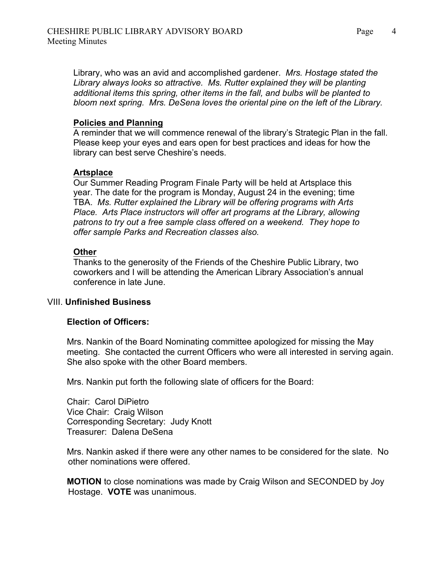Library, who was an avid and accomplished gardener. *Mrs. Hostage stated the Library always looks so attractive. Ms. Rutter explained they will be planting additional items this spring, other items in the fall, and bulbs will be planted to bloom next spring. Mrs. DeSena loves the oriental pine on the left of the Library.*

### **Policies and Planning**

A reminder that we will commence renewal of the library's Strategic Plan in the fall. Please keep your eyes and ears open for best practices and ideas for how the library can best serve Cheshire's needs.

## **Artsplace**

Our Summer Reading Program Finale Party will be held at Artsplace this year. The date for the program is Monday, August 24 in the evening; time TBA. *Ms. Rutter explained the Library will be offering programs with Arts Place. Arts Place instructors will offer art programs at the Library, allowing patrons to try out a free sample class offered on a weekend. They hope to offer sample Parks and Recreation classes also.*

### **Other**

Thanks to the generosity of the Friends of the Cheshire Public Library, two coworkers and I will be attending the American Library Association's annual conference in late June.

## VIII. **Unfinished Business**

#### **Election of Officers:**

Mrs. Nankin of the Board Nominating committee apologized for missing the May meeting. She contacted the current Officers who were all interested in serving again. She also spoke with the other Board members.

Mrs. Nankin put forth the following slate of officers for the Board:

Chair: Carol DiPietro Vice Chair: Craig Wilson Corresponding Secretary: Judy Knott Treasurer: Dalena DeSena

Mrs. Nankin asked if there were any other names to be considered for the slate. No other nominations were offered.

**MOTION** to close nominations was made by Craig Wilson and SECONDED by Joy Hostage. **VOTE** was unanimous.